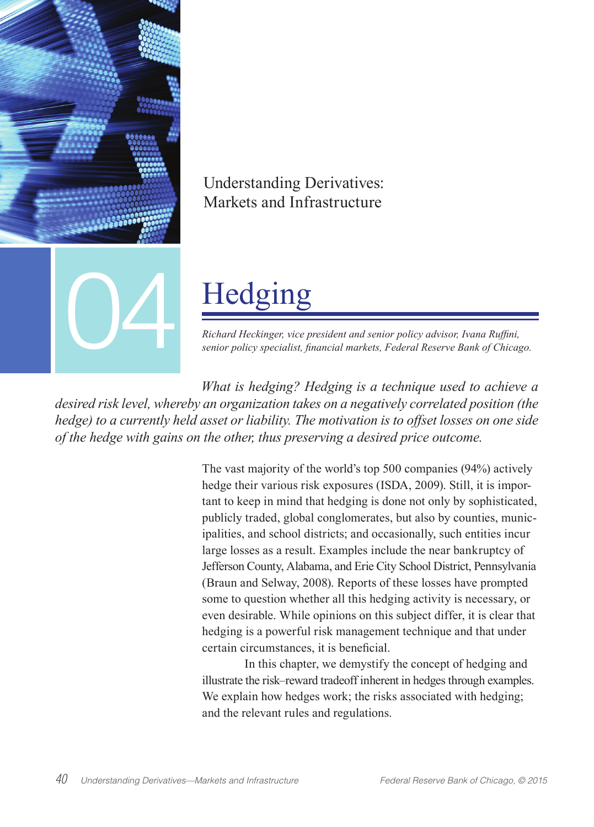

# Understanding Derivatives: Markets and Infrastructure

# Hedging

*Richard Heckinger, vice president and senior policy advisor, Ivana Ruffini,* 

*What is hedging? Hedging is a technique used to achieve a desired risk level, whereby an organization takes on a negatively correlated position (the hedge) to a currently held asset or liability. The motivation is to offset losses on one side of the hedge with gains on the other, thus preserving a desired price outcome.*

> The vast majority of the world's top 500 companies (94%) actively hedge their various risk exposures (ISDA, 2009). Still, it is important to keep in mind that hedging is done not only by sophisticated, publicly traded, global conglomerates, but also by counties, municipalities, and school districts; and occasionally, such entities incur large losses as a result. Examples include the near bankruptcy of Jefferson County, Alabama, and Erie City School District, Pennsylvania (Braun and Selway, 2008). Reports of these losses have prompted some to question whether all this hedging activity is necessary, or even desirable. While opinions on this subject differ, it is clear that hedging is a powerful risk management technique and that under certain circumstances, it is beneficial.

> In this chapter, we demystify the concept of hedging and illustrate the risk–reward tradeoff inherent in hedges through examples. We explain how hedges work; the risks associated with hedging; and the relevant rules and regulations.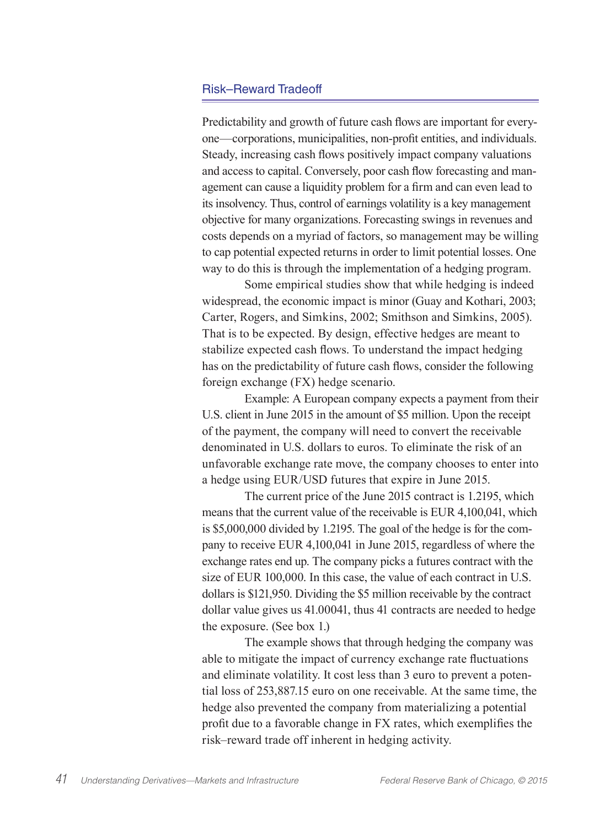## Risk–Reward Tradeoff

Predictability and growth of future cash flows are important for everyone—corporations, municipalities, non-profit entities, and individuals. Steady, increasing cash flows positively impact company valuations and access to capital. Conversely, poor cash flow forecasting and management can cause a liquidity problem for a firm and can even lead to its insolvency. Thus, control of earnings volatility is a key management objective for many organizations. Forecasting swings in revenues and costs depends on a myriad of factors, so management may be willing to cap potential expected returns in order to limit potential losses. One way to do this is through the implementation of a hedging program.

Some empirical studies show that while hedging is indeed widespread, the economic impact is minor (Guay and Kothari, 2003; Carter, Rogers, and Simkins, 2002; Smithson and Simkins, 2005). That is to be expected. By design, effective hedges are meant to stabilize expected cash flows. To understand the impact hedging has on the predictability of future cash flows, consider the following foreign exchange (FX) hedge scenario.

Example: A European company expects a payment from their U.S. client in June 2015 in the amount of \$5 million. Upon the receipt of the payment, the company will need to convert the receivable denominated in U.S. dollars to euros. To eliminate the risk of an unfavorable exchange rate move, the company chooses to enter into a hedge using EUR/USD futures that expire in June 2015.

The current price of the June 2015 contract is 1.2195, which means that the current value of the receivable is EUR 4,100,041, which is \$5,000,000 divided by 1.2195. The goal of the hedge is for the company to receive EUR 4,100,041 in June 2015, regardless of where the exchange rates end up. The company picks a futures contract with the size of EUR 100,000. In this case, the value of each contract in U.S. dollars is \$121,950. Dividing the \$5 million receivable by the contract dollar value gives us 41.00041, thus 41 contracts are needed to hedge the exposure. (See box 1.)

The example shows that through hedging the company was able to mitigate the impact of currency exchange rate fluctuations and eliminate volatility. It cost less than 3 euro to prevent a potential loss of 253,887.15 euro on one receivable. At the same time, the hedge also prevented the company from materializing a potential profit due to a favorable change in FX rates, which exemplifies the risk–reward trade off inherent in hedging activity.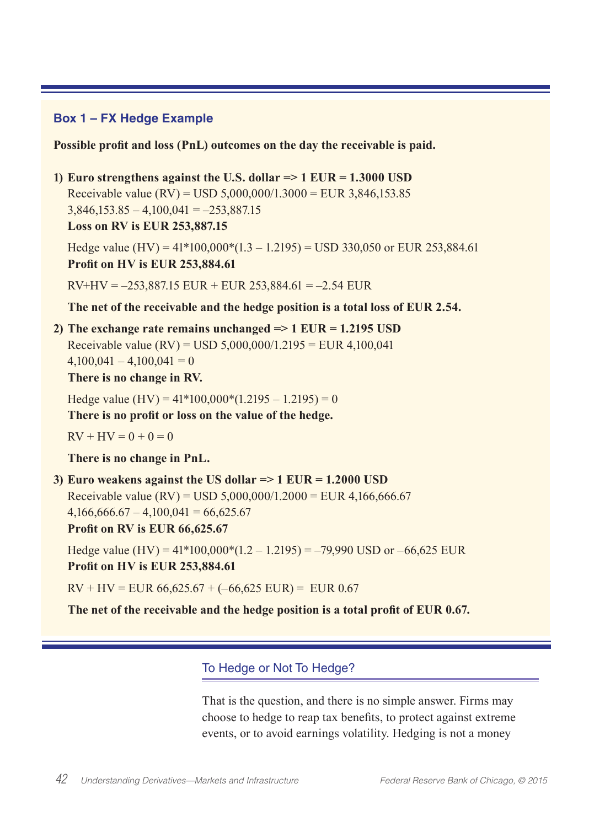# **Box 1 – FX Hedge Example**

**Possible profit and loss (PnL) outcomes on the day the receivable is paid.**

# **1) Euro strengthens against the U.S. dollar => 1 EUR = 1.3000 USD**

Receivable value (RV) = USD  $5,000,000/1.3000$  = EUR  $3,846,153.85$  $3,846,153.85 - 4,100,041 = -253,887.15$ 

**Loss on RV is EUR 253,887.15**

Hedge value (HV) =  $41*100,000*(1.3 - 1.2195)$  = USD 330,050 or EUR 253,884.61 **Profit on HV is EUR 253,884.61**

 $RV+HV = -253,887.15$  EUR + EUR 253,884.61 = -2.54 EUR

**The net of the receivable and the hedge position is a total loss of EUR 2.54.**

**2) The exchange rate remains unchanged => 1 EUR = 1.2195 USD** Receivable value (RV) = USD 5,000,000/1.2195 = EUR 4,100,041  $4,100,041 - 4,100,041 = 0$ 

**There is no change in RV.**

Hedge value  $(HV) = 41*100,000*(1.2195 - 1.2195) = 0$ 

**There is no profit or loss on the value of the hedge.**

 $RV + HV = 0 + 0 = 0$ 

**There is no change in PnL.**

**3) Euro weakens against the US dollar => 1 EUR = 1.2000 USD** Receivable value (RV) = USD  $5,000,000/1.2000$  = EUR 4,166,666.67  $4,166,666.67 - 4,100,041 = 66,625.67$ 

**Profit on RV is EUR 66,625.67**

Hedge value (HV) =  $41*100,000*(1.2 - 1.2195) = -79,990$  USD or  $-66,625$  EUR **Profit on HV is EUR 253,884.61**

 $RV + HV = EUR 66,625.67 + (-66,625 EUR) = EUR 0.67$ 

**The net of the receivable and the hedge position is a total profit of EUR 0.67.**

# To Hedge or Not To Hedge?

That is the question, and there is no simple answer. Firms may choose to hedge to reap tax benefits, to protect against extreme events, or to avoid earnings volatility. Hedging is not a money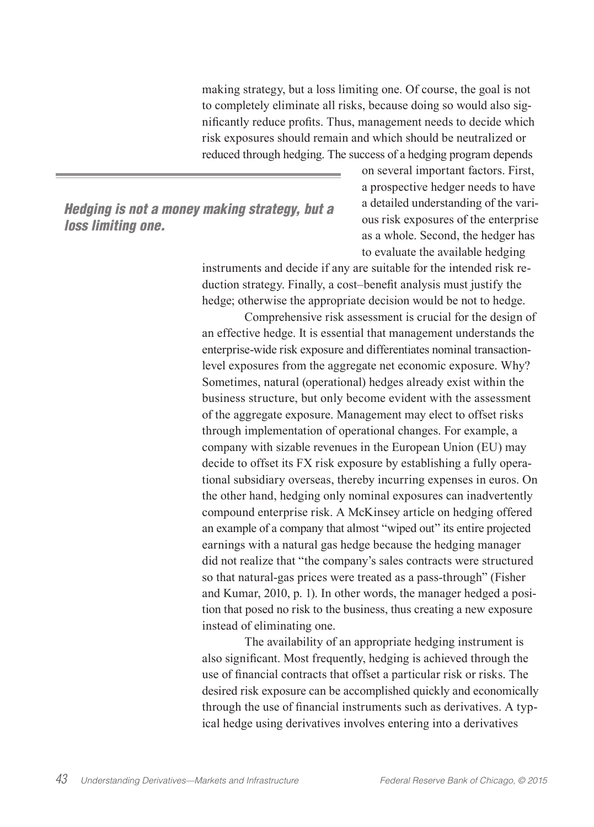making strategy, but a loss limiting one. Of course, the goal is not to completely eliminate all risks, because doing so would also significantly reduce profits. Thus, management needs to decide which risk exposures should remain and which should be neutralized or reduced through hedging. The success of a hedging program depends

# *Hedging is not a money making strategy, but a loss limiting one.*

on several important factors. First, a prospective hedger needs to have a detailed understanding of the various risk exposures of the enterprise as a whole. Second, the hedger has to evaluate the available hedging

instruments and decide if any are suitable for the intended risk reduction strategy. Finally, a cost–benefit analysis must justify the hedge; otherwise the appropriate decision would be not to hedge.

Comprehensive risk assessment is crucial for the design of an effective hedge. It is essential that management understands the enterprise-wide risk exposure and differentiates nominal transactionlevel exposures from the aggregate net economic exposure. Why? Sometimes, natural (operational) hedges already exist within the business structure, but only become evident with the assessment of the aggregate exposure. Management may elect to offset risks through implementation of operational changes. For example, a company with sizable revenues in the European Union (EU) may decide to offset its FX risk exposure by establishing a fully operational subsidiary overseas, thereby incurring expenses in euros. On the other hand, hedging only nominal exposures can inadvertently compound enterprise risk. A McKinsey article on hedging offered an example of a company that almost "wiped out" its entire projected earnings with a natural gas hedge because the hedging manager did not realize that "the company's sales contracts were structured so that natural-gas prices were treated as a pass-through" (Fisher and Kumar, 2010, p. 1). In other words, the manager hedged a position that posed no risk to the business, thus creating a new exposure instead of eliminating one.

The availability of an appropriate hedging instrument is also significant. Most frequently, hedging is achieved through the use of financial contracts that offset a particular risk or risks. The desired risk exposure can be accomplished quickly and economically through the use of financial instruments such as derivatives. A typical hedge using derivatives involves entering into a derivatives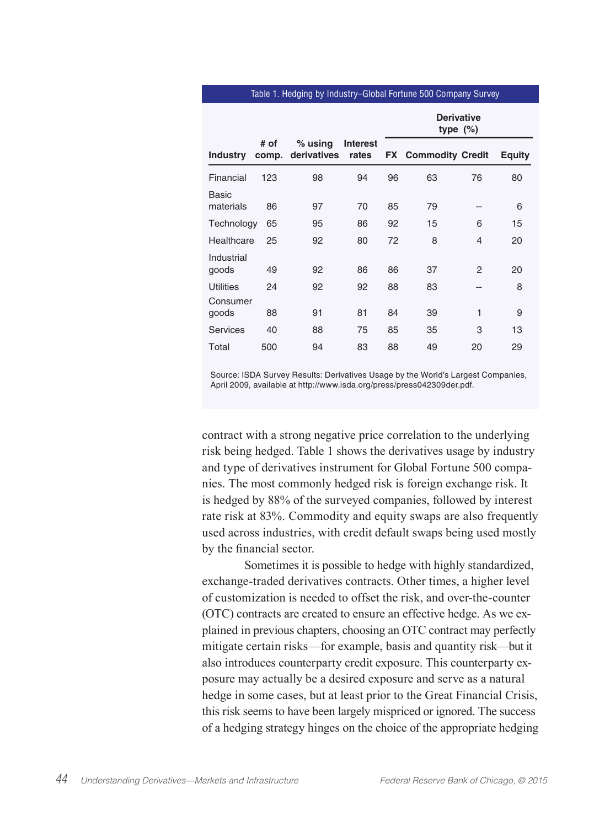#### Table 1. Hedging by Industry–Global Fortune 500 Company Survey

|                     |               |                          |                          |    | <b>Derivative</b><br>type $(\%)$ |                |               |
|---------------------|---------------|--------------------------|--------------------------|----|----------------------------------|----------------|---------------|
| <b>Industry</b>     | # of<br>comp. | $%$ using<br>derivatives | <b>Interest</b><br>rates |    | <b>FX</b> Commodity Credit       |                | <b>Equity</b> |
| Financial           | 123           | 98                       | 94                       | 96 | 63                               | 76             | 80            |
| Basic<br>materials  | 86            | 97                       | 70                       | 85 | 79                               | --             | 6             |
| Technology          | 65            | 95                       | 86                       | 92 | 15                               | 6              | 15            |
| Healthcare          | 25            | 92                       | 80                       | 72 | 8                                | 4              | 20            |
| Industrial<br>goods | 49            | 92                       | 86                       | 86 | 37                               | $\overline{2}$ | 20            |
| Utilities           | 24            | 92                       | 92                       | 88 | 83                               | --             | 8             |
| Consumer<br>goods   | 88            | 91                       | 81                       | 84 | 39                               | 1              | 9             |
| Services            | 40            | 88                       | 75                       | 85 | 35                               | 3              | 13            |
| Total               | 500           | 94                       | 83                       | 88 | 49                               | 20             | 29            |

Source: ISDA Survey Results: Derivatives Usage by the World's Largest Companies, April 2009, available at http://www.isda.org/press/press042309der.pdf.

contract with a strong negative price correlation to the underlying risk being hedged. Table 1 shows the derivatives usage by industry and type of derivatives instrument for Global Fortune 500 companies. The most commonly hedged risk is foreign exchange risk. It is hedged by 88% of the surveyed companies, followed by interest rate risk at 83%. Commodity and equity swaps are also frequently used across industries, with credit default swaps being used mostly by the financial sector.

Sometimes it is possible to hedge with highly standardized, exchange-traded derivatives contracts. Other times, a higher level of customization is needed to offset the risk, and over-the-counter (OTC) contracts are created to ensure an effective hedge. As we explained in previous chapters, choosing an OTC contract may perfectly mitigate certain risks—for example, basis and quantity risk—but it also introduces counterparty credit exposure. This counterparty exposure may actually be a desired exposure and serve as a natural hedge in some cases, but at least prior to the Great Financial Crisis, this risk seems to have been largely mispriced or ignored. The success of a hedging strategy hinges on the choice of the appropriate hedging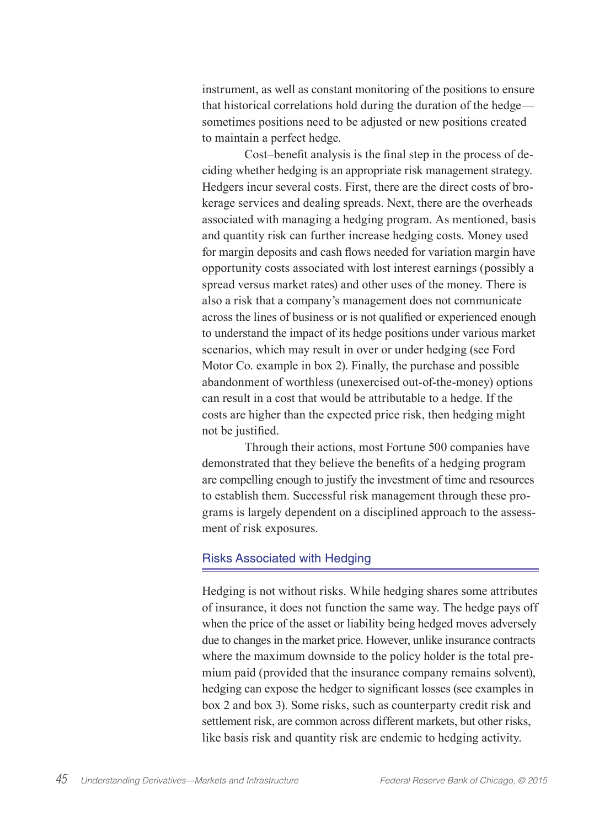instrument, as well as constant monitoring of the positions to ensure that historical correlations hold during the duration of the hedge sometimes positions need to be adjusted or new positions created to maintain a perfect hedge.

Cost–benefit analysis is the final step in the process of deciding whether hedging is an appropriate risk management strategy. Hedgers incur several costs. First, there are the direct costs of brokerage services and dealing spreads. Next, there are the overheads associated with managing a hedging program. As mentioned, basis and quantity risk can further increase hedging costs. Money used for margin deposits and cash flows needed for variation margin have opportunity costs associated with lost interest earnings (possibly a spread versus market rates) and other uses of the money. There is also a risk that a company's management does not communicate across the lines of business or is not qualified or experienced enough to understand the impact of its hedge positions under various market scenarios, which may result in over or under hedging (see Ford Motor Co. example in box 2). Finally, the purchase and possible abandonment of worthless (unexercised out-of-the-money) options can result in a cost that would be attributable to a hedge. If the costs are higher than the expected price risk, then hedging might not be justified.

Through their actions, most Fortune 500 companies have demonstrated that they believe the benefits of a hedging program are compelling enough to justify the investment of time and resources to establish them. Successful risk management through these programs is largely dependent on a disciplined approach to the assessment of risk exposures.

### Risks Associated with Hedging

Hedging is not without risks. While hedging shares some attributes of insurance, it does not function the same way. The hedge pays off when the price of the asset or liability being hedged moves adversely due to changes in the market price. However, unlike insurance contracts where the maximum downside to the policy holder is the total premium paid (provided that the insurance company remains solvent), hedging can expose the hedger to significant losses (see examples in box 2 and box 3). Some risks, such as counterparty credit risk and settlement risk, are common across different markets, but other risks, like basis risk and quantity risk are endemic to hedging activity.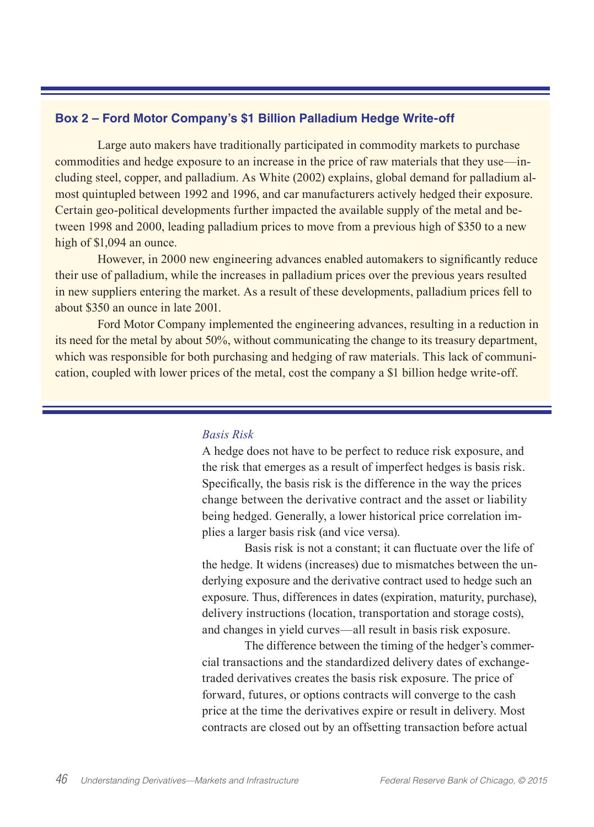# **Box 2 – Ford Motor Company's \$1 Billion Palladium Hedge Write-off**

Large auto makers have traditionally participated in commodity markets to purchase commodities and hedge exposure to an increase in the price of raw materials that they use—including steel, copper, and palladium. As White (2002) explains, global demand for palladium almost quintupled between 1992 and 1996, and car manufacturers actively hedged their exposure. Certain geo-political developments further impacted the available supply of the metal and between 1998 and 2000, leading palladium prices to move from a previous high of \$350 to a new high of \$1,094 an ounce.

However, in 2000 new engineering advances enabled automakers to significantly reduce their use of palladium, while the increases in palladium prices over the previous years resulted in new suppliers entering the market. As a result of these developments, palladium prices fell to about \$350 an ounce in late 2001.

Ford Motor Company implemented the engineering advances, resulting in a reduction in its need for the metal by about 50%, without communicating the change to its treasury department, which was responsible for both purchasing and hedging of raw materials. This lack of communication, coupled with lower prices of the metal, cost the company a \$1 billion hedge write-off.

#### *Basis Risk*

A hedge does not have to be perfect to reduce risk exposure, and the risk that emerges as a result of imperfect hedges is basis risk. Specifically, the basis risk is the difference in the way the prices change between the derivative contract and the asset or liability being hedged. Generally, a lower historical price correlation implies a larger basis risk (and vice versa).

Basis risk is not a constant; it can fluctuate over the life of the hedge. It widens (increases) due to mismatches between the underlying exposure and the derivative contract used to hedge such an exposure. Thus, differences in dates (expiration, maturity, purchase), delivery instructions (location, transportation and storage costs), and changes in yield curves—all result in basis risk exposure.

The difference between the timing of the hedger's commercial transactions and the standardized delivery dates of exchangetraded derivatives creates the basis risk exposure. The price of forward, futures, or options contracts will converge to the cash price at the time the derivatives expire or result in delivery. Most contracts are closed out by an offsetting transaction before actual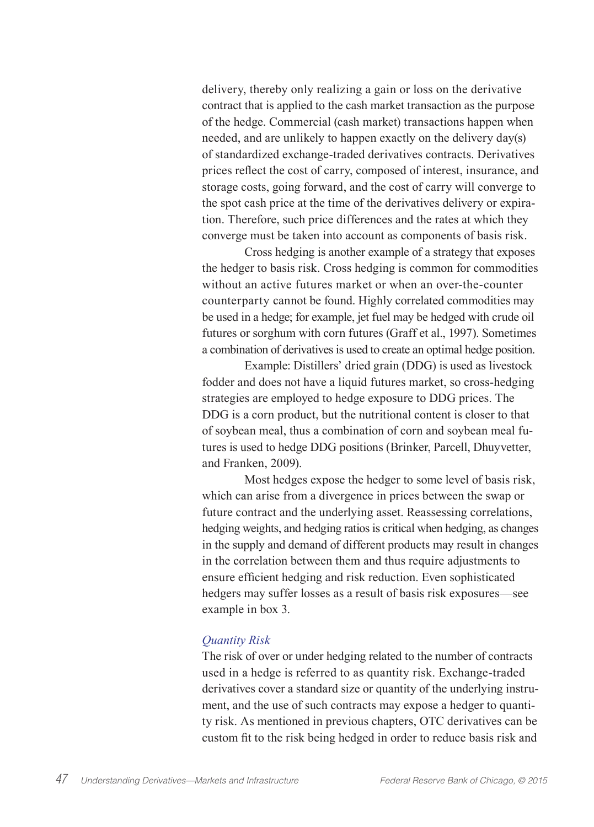delivery, thereby only realizing a gain or loss on the derivative contract that is applied to the cash market transaction as the purpose of the hedge. Commercial (cash market) transactions happen when needed, and are unlikely to happen exactly on the delivery day(s) of standardized exchange-traded derivatives contracts. Derivatives prices reflect the cost of carry, composed of interest, insurance, and storage costs, going forward, and the cost of carry will converge to the spot cash price at the time of the derivatives delivery or expiration. Therefore, such price differences and the rates at which they converge must be taken into account as components of basis risk.

Cross hedging is another example of a strategy that exposes the hedger to basis risk. Cross hedging is common for commodities without an active futures market or when an over-the-counter counterparty cannot be found. Highly correlated commodities may be used in a hedge; for example, jet fuel may be hedged with crude oil futures or sorghum with corn futures (Graff et al., 1997). Sometimes a combination of derivatives is used to create an optimal hedge position.

Example: Distillers' dried grain (DDG) is used as livestock fodder and does not have a liquid futures market, so cross-hedging strategies are employed to hedge exposure to DDG prices. The DDG is a corn product, but the nutritional content is closer to that of soybean meal, thus a combination of corn and soybean meal futures is used to hedge DDG positions (Brinker, Parcell, Dhuyvetter, and Franken, 2009).

Most hedges expose the hedger to some level of basis risk, which can arise from a divergence in prices between the swap or future contract and the underlying asset. Reassessing correlations, hedging weights, and hedging ratios is critical when hedging, as changes in the supply and demand of different products may result in changes in the correlation between them and thus require adjustments to ensure efficient hedging and risk reduction. Even sophisticated hedgers may suffer losses as a result of basis risk exposures—see example in box 3.

#### *Quantity Risk*

The risk of over or under hedging related to the number of contracts used in a hedge is referred to as quantity risk. Exchange-traded derivatives cover a standard size or quantity of the underlying instrument, and the use of such contracts may expose a hedger to quantity risk. As mentioned in previous chapters, OTC derivatives can be custom fit to the risk being hedged in order to reduce basis risk and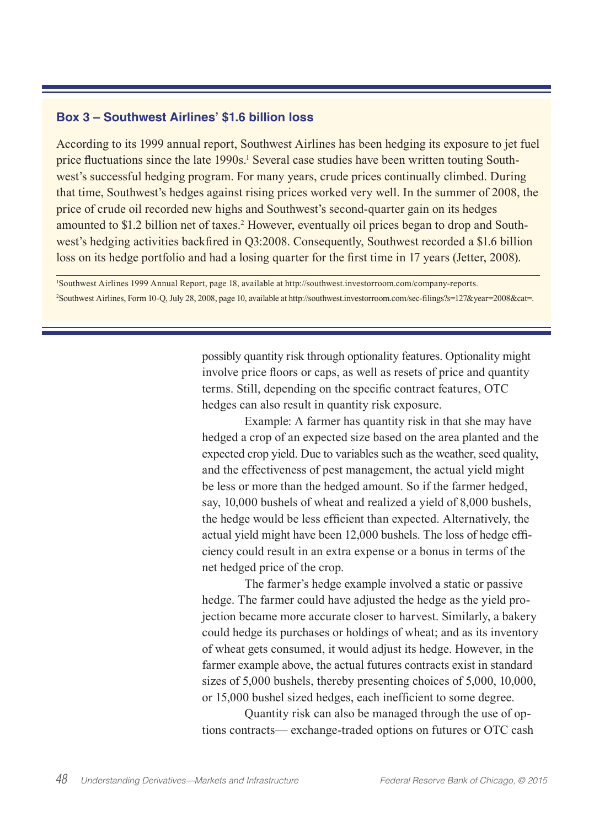## **Box 3 – Southwest Airlines' \$1.6 billion loss**

According to its 1999 annual report, Southwest Airlines has been hedging its exposure to jet fuel price fluctuations since the late 1990s.<sup>1</sup> Several case studies have been written touting Southwest's successful hedging program. For many years, crude prices continually climbed. During that time, Southwest's hedges against rising prices worked very well. In the summer of 2008, the price of crude oil recorded new highs and Southwest's second-quarter gain on its hedges amounted to \$1.2 billion net of taxes.<sup>2</sup> However, eventually oil prices began to drop and Southwest's hedging activities backfired in Q3:2008. Consequently, Southwest recorded a \$1.6 billion loss on its hedge portfolio and had a losing quarter for the first time in 17 years (Jetter, 2008).

1 Southwest Airlines 1999 Annual Report, page 18, available at http://southwest.investorroom.com/company-reports. 2 Southwest Airlines, Form 10-Q, July 28, 2008, page 10, available at http://southwest.investorroom.com/sec-filings?s=127&year=2008&cat=.

> possibly quantity risk through optionality features. Optionality might involve price floors or caps, as well as resets of price and quantity terms. Still, depending on the specific contract features, OTC hedges can also result in quantity risk exposure.

Example: A farmer has quantity risk in that she may have hedged a crop of an expected size based on the area planted and the expected crop yield. Due to variables such as the weather, seed quality, and the effectiveness of pest management, the actual yield might be less or more than the hedged amount. So if the farmer hedged, say, 10,000 bushels of wheat and realized a yield of 8,000 bushels, the hedge would be less efficient than expected. Alternatively, the actual yield might have been 12,000 bushels. The loss of hedge efficiency could result in an extra expense or a bonus in terms of the net hedged price of the crop.

The farmer's hedge example involved a static or passive hedge. The farmer could have adjusted the hedge as the yield projection became more accurate closer to harvest. Similarly, a bakery could hedge its purchases or holdings of wheat; and as its inventory of wheat gets consumed, it would adjust its hedge. However, in the farmer example above, the actual futures contracts exist in standard sizes of 5,000 bushels, thereby presenting choices of 5,000, 10,000, or 15,000 bushel sized hedges, each inefficient to some degree.

Quantity risk can also be managed through the use of options contracts— exchange-traded options on futures or OTC cash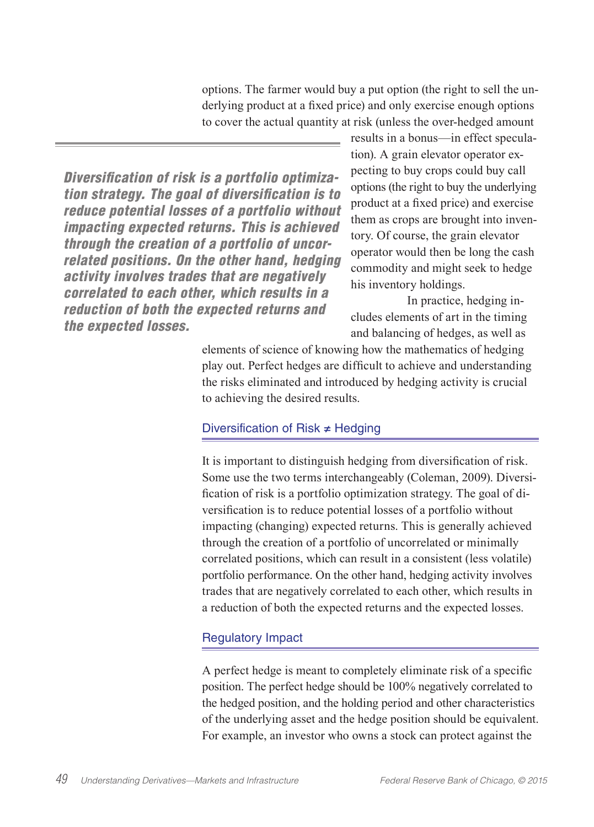options. The farmer would buy a put option (the right to sell the underlying product at a fixed price) and only exercise enough options to cover the actual quantity at risk (unless the over-hedged amount

*Diversification of risk is a portfolio optimization strategy. The goal of diversification is to reduce potential losses of a portfolio without impacting expected returns. This is achieved through the creation of a portfolio of uncorrelated positions. On the other hand, hedging activity involves trades that are negatively correlated to each other, which results in a reduction of both the expected returns and the expected losses.*

results in a bonus—in effect speculation). A grain elevator operator expecting to buy crops could buy call options (the right to buy the underlying product at a fixed price) and exercise them as crops are brought into inventory. Of course, the grain elevator operator would then be long the cash commodity and might seek to hedge his inventory holdings.

In practice, hedging includes elements of art in the timing and balancing of hedges, as well as

elements of science of knowing how the mathematics of hedging play out. Perfect hedges are difficult to achieve and understanding the risks eliminated and introduced by hedging activity is crucial to achieving the desired results.

# Diversification of Risk ≠ Hedging

It is important to distinguish hedging from diversification of risk. Some use the two terms interchangeably (Coleman, 2009). Diversification of risk is a portfolio optimization strategy. The goal of diversification is to reduce potential losses of a portfolio without impacting (changing) expected returns. This is generally achieved through the creation of a portfolio of uncorrelated or minimally correlated positions, which can result in a consistent (less volatile) portfolio performance. On the other hand, hedging activity involves trades that are negatively correlated to each other, which results in a reduction of both the expected returns and the expected losses.

# Regulatory Impact

A perfect hedge is meant to completely eliminate risk of a specific position. The perfect hedge should be 100% negatively correlated to the hedged position, and the holding period and other characteristics of the underlying asset and the hedge position should be equivalent. For example, an investor who owns a stock can protect against the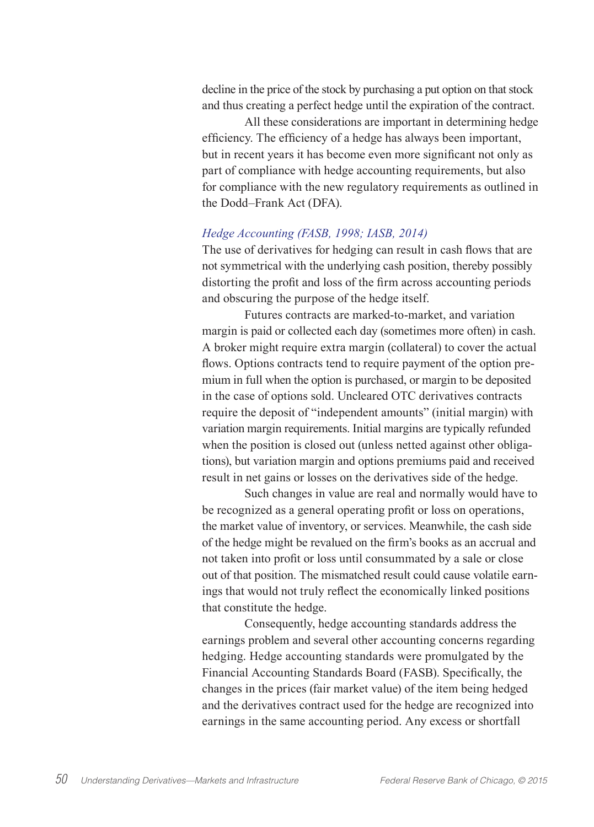decline in the price of the stock by purchasing a put option on that stock and thus creating a perfect hedge until the expiration of the contract.

All these considerations are important in determining hedge efficiency. The efficiency of a hedge has always been important, but in recent years it has become even more significant not only as part of compliance with hedge accounting requirements, but also for compliance with the new regulatory requirements as outlined in the Dodd–Frank Act (DFA).

### *Hedge Accounting (FASB, 1998; IASB, 2014)*

The use of derivatives for hedging can result in cash flows that are not symmetrical with the underlying cash position, thereby possibly distorting the profit and loss of the firm across accounting periods and obscuring the purpose of the hedge itself.

Futures contracts are marked-to-market, and variation margin is paid or collected each day (sometimes more often) in cash. A broker might require extra margin (collateral) to cover the actual flows. Options contracts tend to require payment of the option premium in full when the option is purchased, or margin to be deposited in the case of options sold. Uncleared OTC derivatives contracts require the deposit of "independent amounts" (initial margin) with variation margin requirements. Initial margins are typically refunded when the position is closed out (unless netted against other obligations), but variation margin and options premiums paid and received result in net gains or losses on the derivatives side of the hedge.

Such changes in value are real and normally would have to be recognized as a general operating profit or loss on operations, the market value of inventory, or services. Meanwhile, the cash side of the hedge might be revalued on the firm's books as an accrual and not taken into profit or loss until consummated by a sale or close out of that position. The mismatched result could cause volatile earnings that would not truly reflect the economically linked positions that constitute the hedge.

Consequently, hedge accounting standards address the earnings problem and several other accounting concerns regarding hedging. Hedge accounting standards were promulgated by the Financial Accounting Standards Board (FASB). Specifically, the changes in the prices (fair market value) of the item being hedged and the derivatives contract used for the hedge are recognized into earnings in the same accounting period. Any excess or shortfall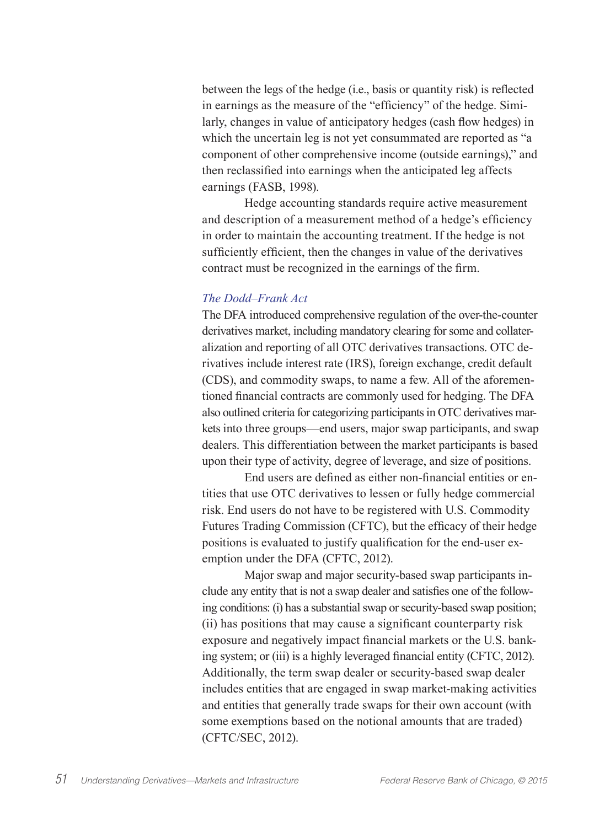between the legs of the hedge (i.e., basis or quantity risk) is reflected in earnings as the measure of the "efficiency" of the hedge. Similarly, changes in value of anticipatory hedges (cash flow hedges) in which the uncertain leg is not yet consummated are reported as "a component of other comprehensive income (outside earnings)," and then reclassified into earnings when the anticipated leg affects earnings (FASB, 1998).

Hedge accounting standards require active measurement and description of a measurement method of a hedge's efficiency in order to maintain the accounting treatment. If the hedge is not sufficiently efficient, then the changes in value of the derivatives contract must be recognized in the earnings of the firm.

## *The Dodd–Frank Act*

The DFA introduced comprehensive regulation of the over-the-counter derivatives market, including mandatory clearing for some and collateralization and reporting of all OTC derivatives transactions. OTC derivatives include interest rate (IRS), foreign exchange, credit default (CDS), and commodity swaps, to name a few. All of the aforementioned financial contracts are commonly used for hedging. The DFA also outlined criteria for categorizing participants in OTC derivatives markets into three groups—end users, major swap participants, and swap dealers. This differentiation between the market participants is based upon their type of activity, degree of leverage, and size of positions.

End users are defined as either non-financial entities or entities that use OTC derivatives to lessen or fully hedge commercial risk. End users do not have to be registered with U.S. Commodity Futures Trading Commission (CFTC), but the efficacy of their hedge positions is evaluated to justify qualification for the end-user exemption under the DFA (CFTC, 2012).

Major swap and major security-based swap participants include any entity that is not a swap dealer and satisfies one of the following conditions: (i) has a substantial swap or security-based swap position; (ii) has positions that may cause a significant counterparty risk exposure and negatively impact financial markets or the U.S. banking system; or (iii) is a highly leveraged financial entity (CFTC, 2012). Additionally, the term swap dealer or security-based swap dealer includes entities that are engaged in swap market-making activities and entities that generally trade swaps for their own account (with some exemptions based on the notional amounts that are traded) (CFTC/SEC, 2012).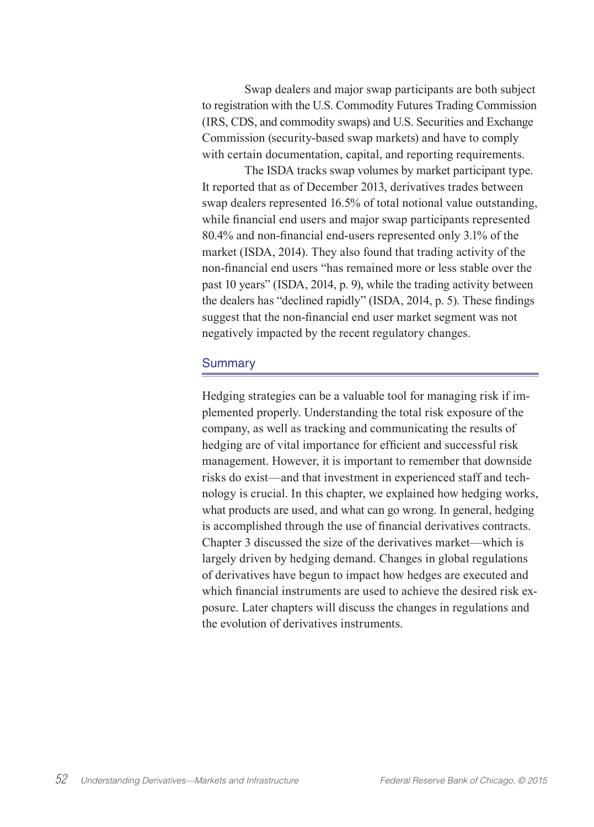Swap dealers and major swap participants are both subject to registration with the U.S. Commodity Futures Trading Commission (IRS, CDS, and commodity swaps) and U.S. Securities and Exchange Commission (security-based swap markets) and have to comply with certain documentation, capital, and reporting requirements.

The ISDA tracks swap volumes by market participant type. It reported that as of December 2013, derivatives trades between swap dealers represented 16.5% of total notional value outstanding, while financial end users and major swap participants represented 80.4% and non-financial end-users represented only 3.1% of the market (ISDA, 2014). They also found that trading activity of the non-financial end users "has remained more or less stable over the past 10 years" (ISDA, 2014, p. 9), while the trading activity between the dealers has "declined rapidly" (ISDA, 2014, p. 5). These findings suggest that the non-financial end user market segment was not negatively impacted by the recent regulatory changes.

#### **Summary**

Hedging strategies can be a valuable tool for managing risk if implemented properly. Understanding the total risk exposure of the company, as well as tracking and communicating the results of hedging are of vital importance for efficient and successful risk management. However, it is important to remember that downside risks do exist—and that investment in experienced staff and technology is crucial. In this chapter, we explained how hedging works, what products are used, and what can go wrong. In general, hedging is accomplished through the use of financial derivatives contracts. Chapter 3 discussed the size of the derivatives market—which is largely driven by hedging demand. Changes in global regulations of derivatives have begun to impact how hedges are executed and which financial instruments are used to achieve the desired risk exposure. Later chapters will discuss the changes in regulations and the evolution of derivatives instruments.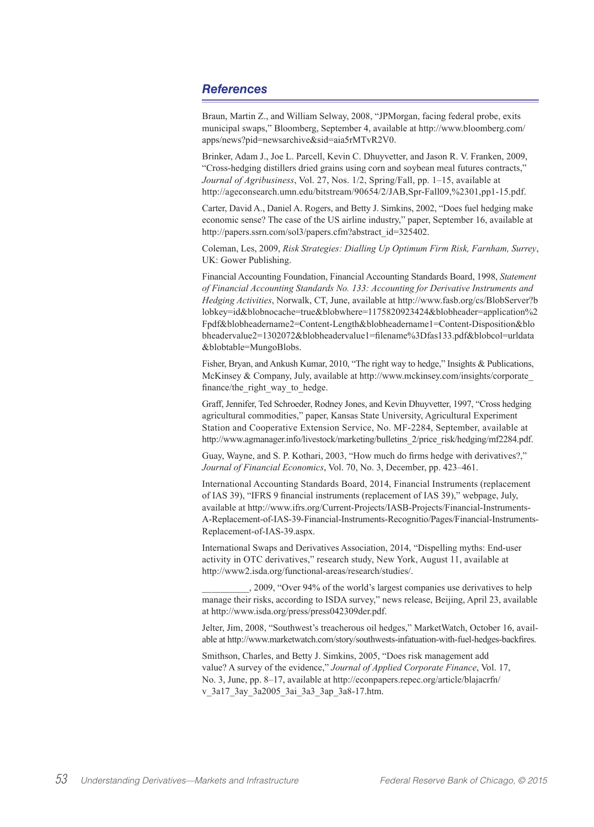### *References*

Braun, Martin Z., and William Selway, 2008, "JPMorgan, facing federal probe, exits municipal swaps," Bloomberg, September 4, available at http://www.bloomberg.com/ apps/news?pid=newsarchive&sid=aia5rMTvR2V0.

Brinker, Adam J., Joe L. Parcell, Kevin C. Dhuyvetter, and Jason R. V. Franken, 2009, "Cross-hedging distillers dried grains using corn and soybean meal futures contracts," *Journal of Agribusiness*, Vol. 27, Nos. 1/2, Spring/Fall, pp. 1–15, available at http://ageconsearch.umn.edu/bitstream/90654/2/JAB,Spr-Fall09,%2301,pp1-15.pdf.

Carter, David A., Daniel A. Rogers, and Betty J. Simkins, 2002, "Does fuel hedging make economic sense? The case of the US airline industry," paper, September 16, available at http://papers.ssrn.com/sol3/papers.cfm?abstract\_id=325402.

Coleman, Les, 2009, *Risk Strategies: Dialling Up Optimum Firm Risk, Farnham, Surrey*, UK: Gower Publishing.

Financial Accounting Foundation, Financial Accounting Standards Board, 1998, *Statement of Financial Accounting Standards No. 133: Accounting for Derivative Instruments and Hedging Activities*, Norwalk, CT, June, available at http://www.fasb.org/cs/BlobServer?b lobkey=id&blobnocache=true&blobwhere=1175820923424&blobheader=application%2 Fpdf&blobheadername2=Content-Length&blobheadername1=Content-Disposition&blo bheadervalue2=1302072&blobheadervalue1=filename%3Dfas133.pdf&blobcol=urldata &blobtable=MungoBlobs.

Fisher, Bryan, and Ankush Kumar, 2010, "The right way to hedge," Insights & Publications, McKinsey & Company, July, available at http://www.mckinsey.com/insights/corporate\_ finance/the\_right\_way\_to\_hedge.

Graff, Jennifer, Ted Schroeder, Rodney Jones, and Kevin Dhuyvetter, 1997, "Cross hedging agricultural commodities," paper, Kansas State University, Agricultural Experiment Station and Cooperative Extension Service, No. MF-2284, September, available at http://www.agmanager.info/livestock/marketing/bulletins\_2/price\_risk/hedging/mf2284.pdf.

Guay, Wayne, and S. P. Kothari, 2003, "How much do firms hedge with derivatives?," *Journal of Financial Economics*, Vol. 70, No. 3, December, pp. 423–461.

International Accounting Standards Board, 2014, Financial Instruments (replacement of IAS 39), "IFRS 9 financial instruments (replacement of IAS 39)," webpage, July, available at http://www.ifrs.org/Current-Projects/IASB-Projects/Financial-Instruments-A-Replacement-of-IAS-39-Financial-Instruments-Recognitio/Pages/Financial-Instruments-Replacement-of-IAS-39.aspx.

International Swaps and Derivatives Association, 2014, "Dispelling myths: End-user activity in OTC derivatives," research study, New York, August 11, available at http://www2.isda.org/functional-areas/research/studies/.

\_\_\_\_\_\_\_\_\_\_, 2009, "Over 94% of the world's largest companies use derivatives to help manage their risks, according to ISDA survey," news release, Beijing, April 23, available at http://www.isda.org/press/press042309der.pdf.

Jelter, Jim, 2008, "Southwest's treacherous oil hedges," MarketWatch, October 16, available at http://www.marketwatch.com/story/southwests-infatuation-with-fuel-hedges-backfires.

Smithson, Charles, and Betty J. Simkins, 2005, "Does risk management add value? A survey of the evidence," *Journal of Applied Corporate Finance*, Vol. 17, No. 3, June, pp. 8–17, available at http://econpapers.repec.org/article/blajacrfn/ v\_3a17\_3ay\_3a2005\_3ai\_3a3\_3ap\_3a8-17.htm.